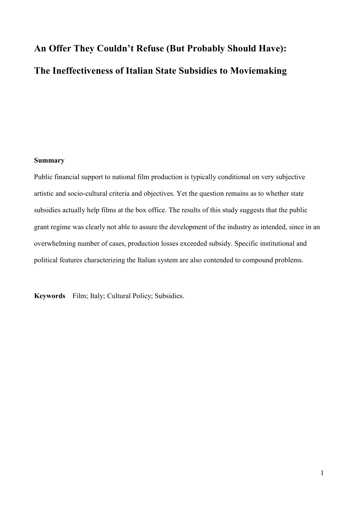# **An Offer They Couldn't Refuse (But Probably Should Have): The Ineffectiveness of Italian State Subsidies to Moviemaking**

#### **Summary**

Public financial support to national film production is typically conditional on very subjective artistic and socio-cultural criteria and objectives. Yet the question remains as to whether state subsidies actually help films at the box office. The results of this study suggests that the public grant regime was clearly not able to assure the development of the industry as intended, since in an overwhelming number of cases, production losses exceeded subsidy. Specific institutional and political features characterizing the Italian system are also contended to compound problems.

**Keywords** Film; Italy; Cultural Policy; Subsidies.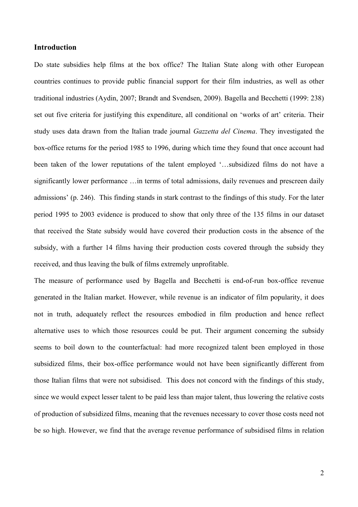# **Introduction**

Do state subsidies help films at the box office? The Italian State along with other European countries continues to provide public financial support for their film industries, as well as other traditional industries (Aydin, 2007; Brandt and Svendsen, 2009). Bagella and Becchetti (1999: 238) set out five criteria for justifying this expenditure, all conditional on 'works of art' criteria. Their study uses data drawn from the Italian trade journal *Gazzetta del Cinema*. They investigated the box-office returns for the period 1985 to 1996, during which time they found that once account had been taken of the lower reputations of the talent employed '…subsidized films do not have a significantly lower performance …in terms of total admissions, daily revenues and prescreen daily admissions' (p. 246). This finding stands in stark contrast to the findings of this study. For the later period 1995 to 2003 evidence is produced to show that only three of the 135 films in our dataset that received the State subsidy would have covered their production costs in the absence of the subsidy, with a further 14 films having their production costs covered through the subsidy they received, and thus leaving the bulk of films extremely unprofitable.

The measure of performance used by Bagella and Becchetti is end-of-run box-office revenue generated in the Italian market. However, while revenue is an indicator of film popularity, it does not in truth, adequately reflect the resources embodied in film production and hence reflect alternative uses to which those resources could be put. Their argument concerning the subsidy seems to boil down to the counterfactual: had more recognized talent been employed in those subsidized films, their box-office performance would not have been significantly different from those Italian films that were not subsidised. This does not concord with the findings of this study, since we would expect lesser talent to be paid less than major talent, thus lowering the relative costs of production of subsidized films, meaning that the revenues necessary to cover those costs need not be so high. However, we find that the average revenue performance of subsidised films in relation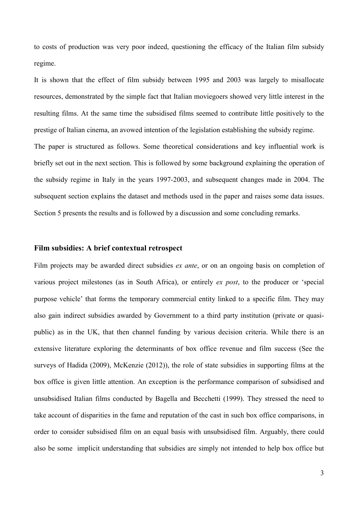to costs of production was very poor indeed, questioning the efficacy of the Italian film subsidy regime.

It is shown that the effect of film subsidy between 1995 and 2003 was largely to misallocate resources, demonstrated by the simple fact that Italian moviegoers showed very little interest in the resulting films. At the same time the subsidised films seemed to contribute little positively to the prestige of Italian cinema, an avowed intention of the legislation establishing the subsidy regime. The paper is structured as follows. Some theoretical considerations and key influential work is briefly set out in the next section. This is followed by some background explaining the operation of the subsidy regime in Italy in the years 1997-2003, and subsequent changes made in 2004. The subsequent section explains the dataset and methods used in the paper and raises some data issues. Section 5 presents the results and is followed by a discussion and some concluding remarks.

### **Film subsidies: A brief contextual retrospect**

Film projects may be awarded direct subsidies *ex ante*, or on an ongoing basis on completion of various project milestones (as in South Africa), or entirely *ex post*, to the producer or 'special purpose vehicle' that forms the temporary commercial entity linked to a specific film. They may also gain indirect subsidies awarded by Government to a third party institution (private or quasipublic) as in the UK, that then channel funding by various decision criteria. While there is an extensive literature exploring the determinants of box office revenue and film success (See the surveys of Hadida (2009), McKenzie (2012)), the role of state subsidies in supporting films at the box office is given little attention. An exception is the performance comparison of subsidised and unsubsidised Italian films conducted by Bagella and Becchetti (1999). They stressed the need to take account of disparities in the fame and reputation of the cast in such box office comparisons, in order to consider subsidised film on an equal basis with unsubsidised film. Arguably, there could also be some implicit understanding that subsidies are simply not intended to help box office but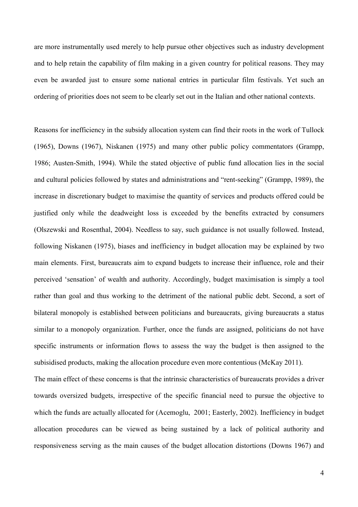are more instrumentally used merely to help pursue other objectives such as industry development and to help retain the capability of film making in a given country for political reasons. They may even be awarded just to ensure some national entries in particular film festivals. Yet such an ordering of priorities does not seem to be clearly set out in the Italian and other national contexts.

Reasons for inefficiency in the subsidy allocation system can find their roots in the work of Tullock (1965), Downs (1967), Niskanen (1975) and many other public policy commentators (Grampp, 1986; Austen-Smith, 1994). While the stated objective of public fund allocation lies in the social and cultural policies followed by states and administrations and "rent-seeking" (Grampp, 1989), the increase in discretionary budget to maximise the quantity of services and products offered could be justified only while the deadweight loss is exceeded by the benefits extracted by consumers (Olszewski and Rosenthal, 2004). Needless to say, such guidance is not usually followed. Instead, following Niskanen (1975), biases and inefficiency in budget allocation may be explained by two main elements. First, bureaucrats aim to expand budgets to increase their influence, role and their perceived 'sensation' of wealth and authority. Accordingly, budget maximisation is simply a tool rather than goal and thus working to the detriment of the national public debt. Second, a sort of bilateral monopoly is established between politicians and bureaucrats, giving bureaucrats a status similar to a monopoly organization. Further, once the funds are assigned, politicians do not have specific instruments or information flows to assess the way the budget is then assigned to the subisidised products, making the allocation procedure even more contentious (McKay 2011).

The main effect of these concerns is that the intrinsic characteristics of bureaucrats provides a driver towards oversized budgets, irrespective of the specific financial need to pursue the objective to which the funds are actually allocated for (Acemoglu, 2001; Easterly, 2002). Inefficiency in budget allocation procedures can be viewed as being sustained by a lack of political authority and responsiveness serving as the main causes of the budget allocation distortions (Downs 1967) and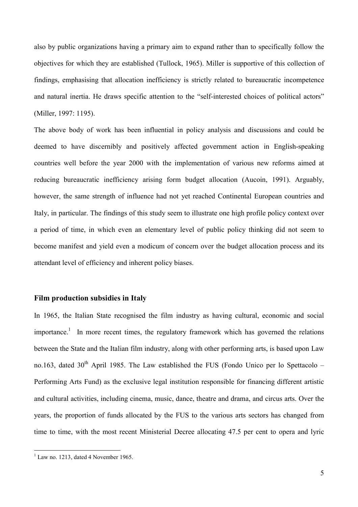also by public organizations having a primary aim to expand rather than to specifically follow the objectives for which they are established (Tullock, 1965). Miller is supportive of this collection of findings, emphasising that allocation inefficiency is strictly related to bureaucratic incompetence and natural inertia. He draws specific attention to the "self-interested choices of political actors" (Miller, 1997: 1195).

The above body of work has been influential in policy analysis and discussions and could be deemed to have discernibly and positively affected government action in English-speaking countries well before the year 2000 with the implementation of various new reforms aimed at reducing bureaucratic inefficiency arising form budget allocation (Aucoin, 1991). Arguably, however, the same strength of influence had not yet reached Continental European countries and Italy, in particular. The findings of this study seem to illustrate one high profile policy context over a period of time, in which even an elementary level of public policy thinking did not seem to become manifest and yield even a modicum of concern over the budget allocation process and its attendant level of efficiency and inherent policy biases.

#### **Film production subsidies in Italy**

In 1965, the Italian State recognised the film industry as having cultural, economic and social importance.<sup>1</sup> In more recent times, the regulatory framework which has governed the relations between the State and the Italian film industry, along with other performing arts, is based upon Law no.163, dated  $30<sup>th</sup>$  April 1985. The Law established the FUS (Fondo Unico per lo Spettacolo – Performing Arts Fund) as the exclusive legal institution responsible for financing different artistic and cultural activities, including cinema, music, dance, theatre and drama, and circus arts. Over the years, the proportion of funds allocated by the FUS to the various arts sectors has changed from time to time, with the most recent Ministerial Decree allocating 47.5 per cent to opera and lyric

<sup>&</sup>lt;sup>1</sup> Law no. 1213, dated 4 November 1965.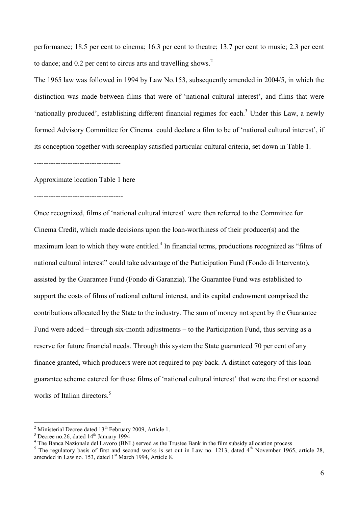performance; 18.5 per cent to cinema; 16.3 per cent to theatre; 13.7 per cent to music; 2.3 per cent to dance; and 0.2 per cent to circus arts and travelling shows.<sup>2</sup>

The 1965 law was followed in 1994 by Law No.153, subsequently amended in 2004/5, in which the distinction was made between films that were of 'national cultural interest', and films that were 'nationally produced', establishing different financial regimes for each.<sup>3</sup> Under this Law, a newly formed Advisory Committee for Cinema could declare a film to be of 'national cultural interest', if its conception together with screenplay satisfied particular cultural criteria, set down in Table 1.

------------------------------------

Approximate location Table 1 here

-------------------------------------

Once recognized, films of 'national cultural interest' were then referred to the Committee for Cinema Credit, which made decisions upon the loan-worthiness of their producer(s) and the maximum loan to which they were entitled.<sup>4</sup> In financial terms, productions recognized as "films of national cultural interest" could take advantage of the Participation Fund (Fondo di Intervento), assisted by the Guarantee Fund (Fondo di Garanzia). The Guarantee Fund was established to support the costs of films of national cultural interest, and its capital endowment comprised the contributions allocated by the State to the industry. The sum of money not spent by the Guarantee Fund were added – through six-month adjustments – to the Participation Fund, thus serving as a reserve for future financial needs. Through this system the State guaranteed 70 per cent of any finance granted, which producers were not required to pay back. A distinct category of this loan guarantee scheme catered for those films of 'national cultural interest' that were the first or second works of Italian directors.<sup>5</sup>

 $2$  Ministerial Decree dated  $13<sup>th</sup>$  February 2009, Article 1. <sup>2</sup> Ministerial Decree dated  $13^{th}$  February 2009, Article 1.<br><sup>3</sup> Decree no 26, dated  $14^{th}$  January 1904.

<sup>&</sup>lt;sup>3</sup> Decree no.26, dated 14<sup>th</sup> January 1994<br><sup>4</sup> The Banca Nazionale del Lavoro (BNL) served as the Trustee Bank in the film subsidy allocation process

<sup>&</sup>lt;sup>5</sup> The regulatory basis of first and second works is set out in Law no. 1213, dated  $4<sup>th</sup>$  November 1965, article 28, amended in Law no. 153, dated 1<sup>st</sup> March 1994, Article 8.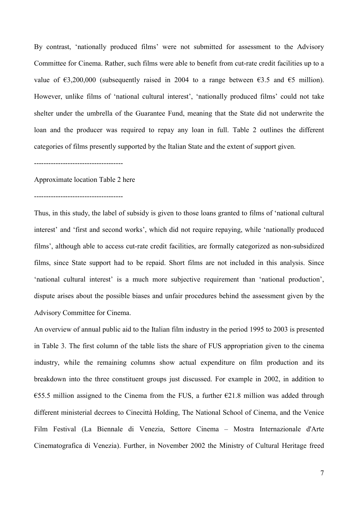By contrast, 'nationally produced films' were not submitted for assessment to the Advisory Committee for Cinema. Rather, such films were able to benefit from cut-rate credit facilities up to a value of  $\epsilon$ 3,200,000 (subsequently raised in 2004 to a range between  $\epsilon$ 3.5 and  $\epsilon$ 5 million). However, unlike films of 'national cultural interest', 'nationally produced films' could not take shelter under the umbrella of the Guarantee Fund, meaning that the State did not underwrite the loan and the producer was required to repay any loan in full. Table 2 outlines the different categories of films presently supported by the Italian State and the extent of support given.

#### -------------------------------------

#### Approximate location Table 2 here

-------------------------------------

Thus, in this study, the label of subsidy is given to those loans granted to films of 'national cultural interest' and 'first and second works', which did not require repaying, while 'nationally produced films', although able to access cut-rate credit facilities, are formally categorized as non-subsidized films, since State support had to be repaid. Short films are not included in this analysis. Since 'national cultural interest' is a much more subjective requirement than 'national production', dispute arises about the possible biases and unfair procedures behind the assessment given by the Advisory Committee for Cinema.

An overview of annual public aid to the Italian film industry in the period 1995 to 2003 is presented in Table 3. The first column of the table lists the share of FUS appropriation given to the cinema industry, while the remaining columns show actual expenditure on film production and its breakdown into the three constituent groups just discussed. For example in 2002, in addition to €55.5 million assigned to the Cinema from the FUS, a further  $€21.8$  million was added through different ministerial decrees to Cinecittà Holding, The National School of Cinema, and the Venice Film Festival (La Biennale di Venezia, Settore Cinema – Mostra Internazionale d'Arte Cinematografica di Venezia). Further, in November 2002 the Ministry of Cultural Heritage freed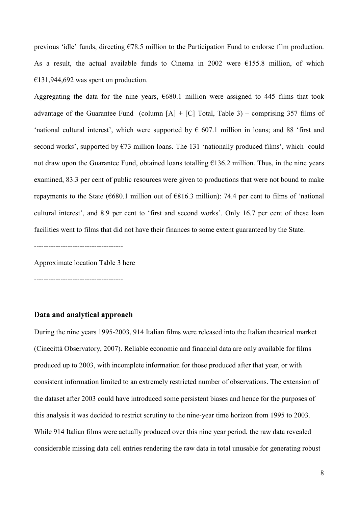previous 'idle' funds, directing €78.5 million to the Participation Fund to endorse film production. As a result, the actual available funds to Cinema in 2002 were  $\epsilon$ 155.8 million, of which  $€131,944,692$  was spent on production.

Aggregating the data for the nine years,  $\epsilon$ 680.1 million were assigned to 445 films that took advantage of the Guarantee Fund (column  $[A] + [C]$  Total, Table 3) – comprising 357 films of 'national cultural interest', which were supported by  $\epsilon$  607.1 million in loans; and 88 'first and second works', supported by  $\epsilon$ 73 million loans. The 131 'nationally produced films', which could not draw upon the Guarantee Fund, obtained loans totalling  $\epsilon$ 136.2 million. Thus, in the nine years examined, 83.3 per cent of public resources were given to productions that were not bound to make repayments to the State ( $680.1$  million out of  $6816.3$  million): 74.4 per cent to films of 'national cultural interest', and 8.9 per cent to 'first and second works'. Only 16.7 per cent of these loan facilities went to films that did not have their finances to some extent guaranteed by the State.

-------------------------------------

Approximate location Table 3 here

-------------------------------------

# **Data and analytical approach**

During the nine years 1995-2003, 914 Italian films were released into the Italian theatrical market (Cinecittà Observatory, 2007). Reliable economic and financial data are only available for films produced up to 2003, with incomplete information for those produced after that year, or with consistent information limited to an extremely restricted number of observations. The extension of the dataset after 2003 could have introduced some persistent biases and hence for the purposes of this analysis it was decided to restrict scrutiny to the nine-year time horizon from 1995 to 2003. While 914 Italian films were actually produced over this nine year period, the raw data revealed considerable missing data cell entries rendering the raw data in total unusable for generating robust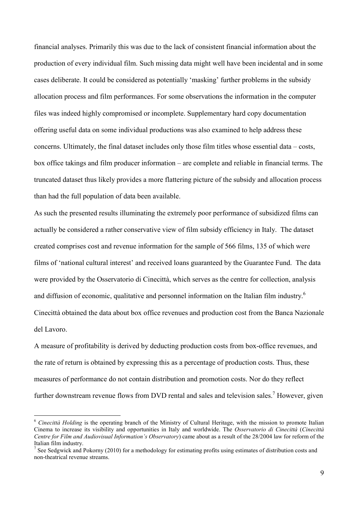financial analyses. Primarily this was due to the lack of consistent financial information about the production of every individual film. Such missing data might well have been incidental and in some cases deliberate. It could be considered as potentially 'masking' further problems in the subsidy allocation process and film performances. For some observations the information in the computer files was indeed highly compromised or incomplete. Supplementary hard copy documentation offering useful data on some individual productions was also examined to help address these concerns. Ultimately, the final dataset includes only those film titles whose essential data – costs, box office takings and film producer information – are complete and reliable in financial terms. The truncated dataset thus likely provides a more flattering picture of the subsidy and allocation process than had the full population of data been available.

As such the presented results illuminating the extremely poor performance of subsidized films can actually be considered a rather conservative view of film subsidy efficiency in Italy. The dataset created comprises cost and revenue information for the sample of 566 films, 135 of which were films of 'national cultural interest' and received loans guaranteed by the Guarantee Fund. The data were provided by the Osservatorio di Cinecittà, which serves as the centre for collection, analysis and diffusion of economic, qualitative and personnel information on the Italian film industry.<sup>6</sup> Cinecittà obtained the data about box office revenues and production cost from the Banca Nazionale del Lavoro.

A measure of profitability is derived by deducting production costs from box-office revenues, and the rate of return is obtained by expressing this as a percentage of production costs. Thus, these measures of performance do not contain distribution and promotion costs. Nor do they reflect further downstream revenue flows from DVD rental and sales and television sales.<sup>7</sup> However, given

<sup>6</sup> *Cinecittà Holding* is the operating branch of the Ministry of Cultural Heritage, with the mission to promote Italian Cinema to increase its visibility and opportunities in Italy and worldwide. The *Osservatorio di Cinecittà* (*Cinecittà Centre for Film and Audiovisual Information's Observatory*) came about as a result of the 28/2004 law for reform of the Italian film industry.

<sup>&</sup>lt;sup>7</sup> See Sedgwick and Pokorny (2010) for a methodology for estimating profits using estimates of distribution costs and non-theatrical revenue streams.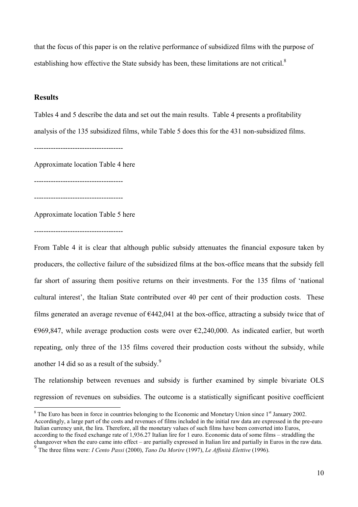that the focus of this paper is on the relative performance of subsidized films with the purpose of establishing how effective the State subsidy has been, these limitations are not critical.<sup>8</sup>

# **Results**

Tables 4 and 5 describe the data and set out the main results. Table 4 presents a profitability analysis of the 135 subsidized films, while Table 5 does this for the 431 non-subsidized films.

-------------------------------------

Approximate location Table 4 here

-------------------------------------

-------------------------------------

Approximate location Table 5 here

-------------------------------------

From Table 4 it is clear that although public subsidy attenuates the financial exposure taken by producers, the collective failure of the subsidized films at the box-office means that the subsidy fell far short of assuring them positive returns on their investments. For the 135 films of 'national cultural interest', the Italian State contributed over 40 per cent of their production costs. These films generated an average revenue of  $E$ 442,041 at the box-office, attracting a subsidy twice that of  $\epsilon$ 969,847, while average production costs were over  $\epsilon$ 2,240,000. As indicated earlier, but worth repeating, only three of the 135 films covered their production costs without the subsidy, while another 14 did so as a result of the subsidy.<sup>9</sup>

The relationship between revenues and subsidy is further examined by simple bivariate OLS regression of revenues on subsidies. The outcome is a statistically significant positive coefficient

 $8$  The Euro has been in force in countries belonging to the Economic and Monetary Union since  $1<sup>st</sup>$  January 2002. Accordingly, a large part of the costs and revenues of films included in the initial raw data are expressed in the pre-euro Italian currency unit, the lira. Therefore, all the monetary values of such films have been converted into Euros, according to the fixed exchange rate of 1,936.27 Italian lire for 1 euro. Economic data of some films – straddling the changeover when the euro came into effect – are partially expressed in Italian lire and partially in Euros in the raw data.

<sup>9</sup> The three films were: *I Cento Passi* (2000), *Tano Da Morire* (1997), *Le Affinità Elettive* (1996).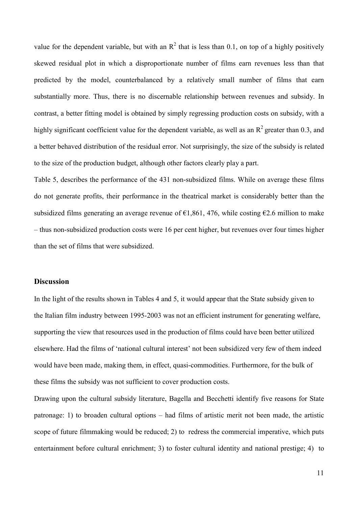value for the dependent variable, but with an  $\mathbb{R}^2$  that is less than 0.1, on top of a highly positively skewed residual plot in which a disproportionate number of films earn revenues less than that predicted by the model, counterbalanced by a relatively small number of films that earn substantially more. Thus, there is no discernable relationship between revenues and subsidy. In contrast, a better fitting model is obtained by simply regressing production costs on subsidy, with a highly significant coefficient value for the dependent variable, as well as an  $R^2$  greater than 0.3, and a better behaved distribution of the residual error. Not surprisingly, the size of the subsidy is related to the size of the production budget, although other factors clearly play a part.

Table 5, describes the performance of the 431 non-subsidized films. While on average these films do not generate profits, their performance in the theatrical market is considerably better than the subsidized films generating an average revenue of  $\epsilon$ 1,861, 476, while costing  $\epsilon$ 2.6 million to make – thus non-subsidized production costs were 16 per cent higher, but revenues over four times higher than the set of films that were subsidized.

# **Discussion**

In the light of the results shown in Tables 4 and 5, it would appear that the State subsidy given to the Italian film industry between 1995-2003 was not an efficient instrument for generating welfare, supporting the view that resources used in the production of films could have been better utilized elsewhere. Had the films of 'national cultural interest' not been subsidized very few of them indeed would have been made, making them, in effect, quasi-commodities. Furthermore, for the bulk of these films the subsidy was not sufficient to cover production costs.

Drawing upon the cultural subsidy literature, Bagella and Becchetti identify five reasons for State patronage: 1) to broaden cultural options – had films of artistic merit not been made, the artistic scope of future filmmaking would be reduced; 2) to redress the commercial imperative, which puts entertainment before cultural enrichment; 3) to foster cultural identity and national prestige; 4) to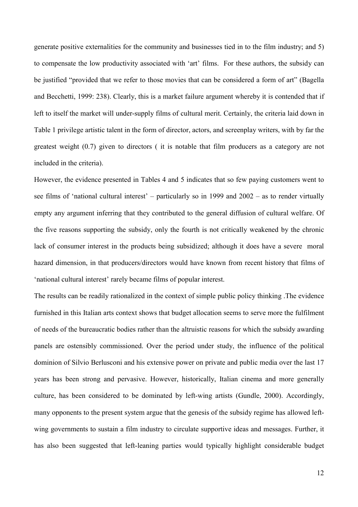generate positive externalities for the community and businesses tied in to the film industry; and 5) to compensate the low productivity associated with 'art' films. For these authors, the subsidy can be justified "provided that we refer to those movies that can be considered a form of art" (Bagella and Becchetti, 1999: 238). Clearly, this is a market failure argument whereby it is contended that if left to itself the market will under-supply films of cultural merit. Certainly, the criteria laid down in Table 1 privilege artistic talent in the form of director, actors, and screenplay writers, with by far the greatest weight (0.7) given to directors ( it is notable that film producers as a category are not included in the criteria).

However, the evidence presented in Tables 4 and 5 indicates that so few paying customers went to see films of 'national cultural interest' – particularly so in 1999 and 2002 – as to render virtually empty any argument inferring that they contributed to the general diffusion of cultural welfare. Of the five reasons supporting the subsidy, only the fourth is not critically weakened by the chronic lack of consumer interest in the products being subsidized; although it does have a severe moral hazard dimension, in that producers/directors would have known from recent history that films of 'national cultural interest' rarely became films of popular interest.

The results can be readily rationalized in the context of simple public policy thinking .The evidence furnished in this Italian arts context shows that budget allocation seems to serve more the fulfilment of needs of the bureaucratic bodies rather than the altruistic reasons for which the subsidy awarding panels are ostensibly commissioned. Over the period under study, the influence of the political dominion of Silvio Berlusconi and his extensive power on private and public media over the last 17 years has been strong and pervasive. However, historically, Italian cinema and more generally culture, has been considered to be dominated by left-wing artists (Gundle, 2000). Accordingly, many opponents to the present system argue that the genesis of the subsidy regime has allowed leftwing governments to sustain a film industry to circulate supportive ideas and messages. Further, it has also been suggested that left-leaning parties would typically highlight considerable budget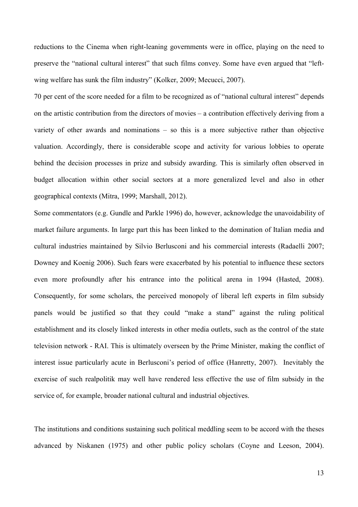reductions to the Cinema when right-leaning governments were in office, playing on the need to preserve the "national cultural interest" that such films convey. Some have even argued that "leftwing welfare has sunk the film industry" (Kolker, 2009; Mecucci, 2007).

70 per cent of the score needed for a film to be recognized as of "national cultural interest" depends on the artistic contribution from the directors of movies – a contribution effectively deriving from a variety of other awards and nominations – so this is a more subjective rather than objective valuation. Accordingly, there is considerable scope and activity for various lobbies to operate behind the decision processes in prize and subsidy awarding. This is similarly often observed in budget allocation within other social sectors at a more generalized level and also in other geographical contexts (Mitra, 1999; Marshall, 2012).

Some commentators (e.g. Gundle and Parkle 1996) do, however, acknowledge the unavoidability of market failure arguments. In large part this has been linked to the domination of Italian media and cultural industries maintained by Silvio Berlusconi and his commercial interests (Radaelli 2007; Downey and Koenig 2006). Such fears were exacerbated by his potential to influence these sectors even more profoundly after his entrance into the political arena in 1994 (Hasted, 2008). Consequently, for some scholars, the perceived monopoly of liberal left experts in film subsidy panels would be justified so that they could "make a stand" against the ruling political establishment and its closely linked interests in other media outlets, such as the control of the state television network - RAI. This is ultimately overseen by the Prime Minister, making the conflict of interest issue particularly acute in Berlusconi's period of office (Hanretty, 2007). Inevitably the exercise of such realpolitik may well have rendered less effective the use of film subsidy in the service of, for example, broader national cultural and industrial objectives.

The institutions and conditions sustaining such political meddling seem to be accord with the theses advanced by Niskanen (1975) and other public policy scholars (Coyne and Leeson, 2004).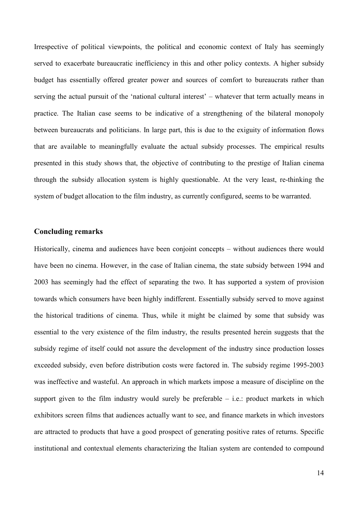Irrespective of political viewpoints, the political and economic context of Italy has seemingly served to exacerbate bureaucratic inefficiency in this and other policy contexts. A higher subsidy budget has essentially offered greater power and sources of comfort to bureaucrats rather than serving the actual pursuit of the 'national cultural interest' – whatever that term actually means in practice. The Italian case seems to be indicative of a strengthening of the bilateral monopoly between bureaucrats and politicians. In large part, this is due to the exiguity of information flows that are available to meaningfully evaluate the actual subsidy processes. The empirical results presented in this study shows that, the objective of contributing to the prestige of Italian cinema through the subsidy allocation system is highly questionable. At the very least, re-thinking the system of budget allocation to the film industry, as currently configured, seems to be warranted.

### **Concluding remarks**

Historically, cinema and audiences have been conjoint concepts – without audiences there would have been no cinema. However, in the case of Italian cinema, the state subsidy between 1994 and 2003 has seemingly had the effect of separating the two. It has supported a system of provision towards which consumers have been highly indifferent. Essentially subsidy served to move against the historical traditions of cinema. Thus, while it might be claimed by some that subsidy was essential to the very existence of the film industry, the results presented herein suggests that the subsidy regime of itself could not assure the development of the industry since production losses exceeded subsidy, even before distribution costs were factored in. The subsidy regime 1995-2003 was ineffective and wasteful. An approach in which markets impose a measure of discipline on the support given to the film industry would surely be preferable  $-$  i.e.: product markets in which exhibitors screen films that audiences actually want to see, and finance markets in which investors are attracted to products that have a good prospect of generating positive rates of returns. Specific institutional and contextual elements characterizing the Italian system are contended to compound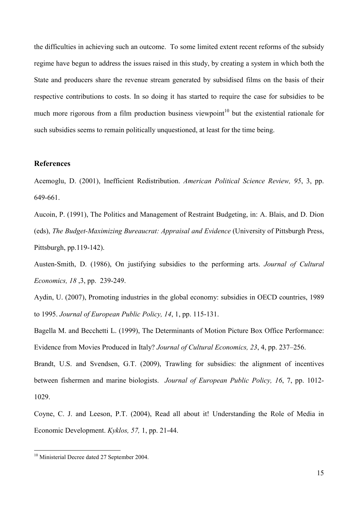the difficulties in achieving such an outcome. To some limited extent recent reforms of the subsidy regime have begun to address the issues raised in this study, by creating a system in which both the State and producers share the revenue stream generated by subsidised films on the basis of their respective contributions to costs. In so doing it has started to require the case for subsidies to be much more rigorous from a film production business viewpoint<sup>10</sup> but the existential rationale for such subsidies seems to remain politically unquestioned, at least for the time being.

# **References**

Acemoglu, D. (2001), Inefficient Redistribution. *American Political Science Review, 95*, 3, pp. 649-661.

Aucoin, P. (1991), The Politics and Management of Restraint Budgeting, in: A. Blais, and D. Dion (eds), *The Budget-Maximizing Bureaucrat: Appraisal and Evidence* (University of Pittsburgh Press, Pittsburgh, pp.119-142).

Austen-Smith, D. (1986), On justifying subsidies to the performing arts. *Journal of Cultural Economics, 18* ,3, pp. 239-249.

Aydin, U. (2007), Promoting industries in the global economy: subsidies in OECD countries, 1989 to 1995. *Journal of European Public Policy, 14*, 1, pp. 115-131.

Bagella M. and Becchetti L. (1999), The Determinants of Motion Picture Box Office Performance: Evidence from Movies Produced in Italy? *Journal of Cultural Economics, 23*, 4, pp. 237–256.

Brandt, U.S. and Svendsen, G.T. (2009), Trawling for subsidies: the alignment of incentives between fishermen and marine biologists. *Journal of European Public Policy, 16*, 7, pp. 1012- 1029.

Coyne, C. J. and Leeson, P.T. (2004), Read all about it! Understanding the Role of Media in Economic Development. *Kyklos, 57,* 1, pp. 21-44.

<sup>&</sup>lt;sup>10</sup> Ministerial Decree dated 27 September 2004.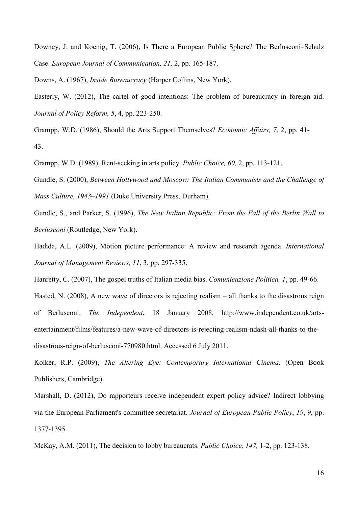Downey, J. and Koenig, T. (2006), Is There a European Public Sphere? The Berlusconi–Schulz Case. *European Journal of Communication, 21,* 2, pp. 165-187.

Downs, A. (1967), *Inside Bureaucracy* (Harper Collins, New York).

Easterly, W. (2012), The cartel of good intentions: The problem of bureaucracy in foreign aid. *Journal of Policy Reform, 5*, 4, pp. 223-250.

Grampp, W.D. (1986), Should the Arts Support Themselves? *Economic Affairs, 7*, 2, pp. 41- 43.

Grampp, W.D. (1989), Rent-seeking in arts policy. *Public Choice, 60,* 2, pp. 113-121.

Gundle, S. (2000), *Between Hollywood and Moscow: The Italian Communists and the Challenge of Mass Culture, 1943–1991* (Duke University Press, Durham).

Gundle, S., and Parker, S. (1996), *The New Italian Republic: From the Fall of the Berlin Wall to Berlusconi* (Routledge, New York).

Hadida, A.L. (2009), Motion picture performance: A review and research agenda. *International Journal of Management Reviews, 11*, 3, pp. 297-335.

Hanretty, C. (2007), The gospel truths of Italian media bias. *Comunicazione Politica, 1*, pp. 49-66. Hasted, N. (2008), A new wave of directors is rejecting realism – all thanks to the disastrous reign of Berlusconi. *The Independent*, 18 January 2008. http://www.independent.co.uk/artsentertainment/films/features/a-new-wave-of-directors-is-rejecting-realism-ndash-all-thanks-to-thedisastrous-reign-of-berlusconi-770980.html. Accessed 6 July 2011.

Kolker, R.P. (2009), *The Altering Eye: Contemporary International Cinema*. (Open Book Publishers, Cambridge).

Marshall, D. (2012), Do rapporteurs receive independent expert policy advice? Indirect lobbying via the European Parliament's committee secretariat. *Journal of European Public Policy*, *19*, 9, pp. 1377-1395

McKay, A.M. (2011), The decision to lobby bureaucrats. *Public Choice, 147,* 1-2, pp. 123-138.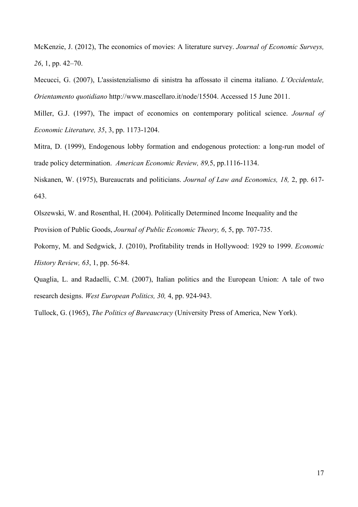McKenzie, J. (2012), The economics of movies: A literature survey. *Journal of Economic Surveys, 26*, 1, pp. 42–70.

Mecucci, G. (2007), L'assistenzialismo di sinistra ha affossato il cinema italiano. *L'Occidentale, Orientamento quotidiano* http://www.mascellaro.it/node/15504. Accessed 15 June 2011.

Miller, G.J. (1997), The impact of economics on contemporary political science. *Journal of Economic Literature, 35*, 3, pp. 1173-1204.

Mitra, D. (1999), Endogenous lobby formation and endogenous protection: a long-run model of trade policy determination. *American Economic Review, 89,*5, pp.1116-1134.

Niskanen, W. (1975), Bureaucrats and politicians. *Journal of Law and Economics, 18,* 2, pp. 617- 643.

Olszewski, W. and Rosenthal, H. (2004). Politically Determined Income Inequality and the Provision of Public Goods, *Journal of Public Economic Theory, 6*, 5, pp. 707-735.

Pokorny, M. and Sedgwick, J. (2010), Profitability trends in Hollywood: 1929 to 1999. *Economic History Review, 63*, 1, pp. 56-84.

Quaglia, L. and Radaelli, C.M. (2007), Italian politics and the European Union: A tale of two research designs. *West European Politics, 30,* 4, pp. 924-943.

Tullock, G. (1965), *The Politics of Bureaucracy* (University Press of America, New York).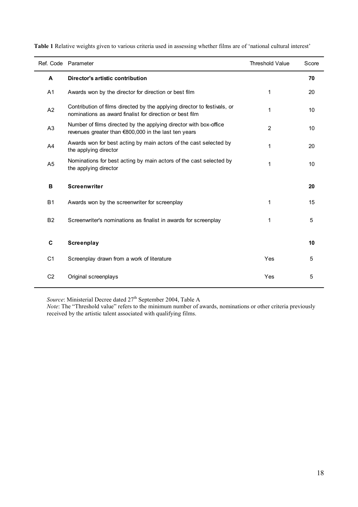|                | Ref. Code Parameter                                                                                                                  | <b>Threshold Value</b> | Score |
|----------------|--------------------------------------------------------------------------------------------------------------------------------------|------------------------|-------|
| A              | Director's artistic contribution                                                                                                     |                        | 70    |
| A <sub>1</sub> | Awards won by the director for direction or best film                                                                                | 1                      | 20    |
| A2             | Contribution of films directed by the applying director to festivals, or<br>nominations as award finalist for direction or best film | 1                      | 10    |
| A3             | Number of films directed by the applying director with box-office<br>revenues greater than €800,000 in the last ten years            | $\overline{2}$         | 10    |
| A4             | Awards won for best acting by main actors of the cast selected by<br>the applying director                                           | 1                      | 20    |
| A <sub>5</sub> | Nominations for best acting by main actors of the cast selected by<br>the applying director                                          | 1                      | 10    |
| B              | <b>Screenwriter</b>                                                                                                                  |                        | 20    |
| <b>B1</b>      | Awards won by the screenwriter for screenplay                                                                                        | 1                      | 15    |
| B <sub>2</sub> | Screenwriter's nominations as finalist in awards for screenplay                                                                      | 1                      | 5     |
| C              | Screenplay                                                                                                                           |                        | 10    |
| C <sub>1</sub> | Screenplay drawn from a work of literature                                                                                           | Yes                    | 5     |
| C <sub>2</sub> | Original screenplays                                                                                                                 | Yes                    | 5     |

**Table 1** Relative weights given to various criteria used in assessing whether films are of 'national cultural interest'

*Source*: Ministerial Decree dated 27<sup>th</sup> September 2004, Table A

*Note*: The "Threshold value" refers to the minimum number of awards, nominations or other criteria previously received by the artistic talent associated with qualifying films.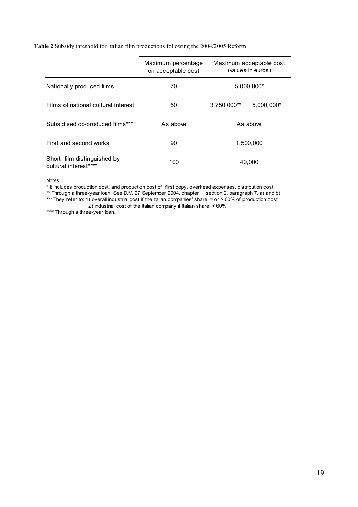|  |  | Table 2 Subsidy threshold for Italian film productions following the 2004/2005 Reform |
|--|--|---------------------------------------------------------------------------------------|
|  |  |                                                                                       |

|                                                      | Maximum percentage<br>on acceptable cost | Maximum acceptable cost<br>(values in euros) |  |
|------------------------------------------------------|------------------------------------------|----------------------------------------------|--|
| Nationally produced films                            | 70                                       | 5,000,000*                                   |  |
| Films of national cultural interest                  | 50                                       | $5.000.000*$<br>$3.750.000**$                |  |
| Subsidised co-produced films***                      | As above                                 | As above                                     |  |
| First and second works                               | 90                                       | 1,500,000                                    |  |
| Short film distinguished by<br>cultural interest**** | 100                                      | 40.000                                       |  |

Notes:

\* It includes production cost, and production cost of first copy, overhead expenses, distribution cost

\*\* Through a three-year loan. See D.M. 27 September 2004, chapter 1, section 2, paragraph 7, a) and b)

\*\*\* They refer to: 1) overall industrial cost if the Italian companies' share: = or > 60% of production cost

2) industrial cost of the Italian company if Italian share: < 60%

\*\*\*\* Through a three-year loan.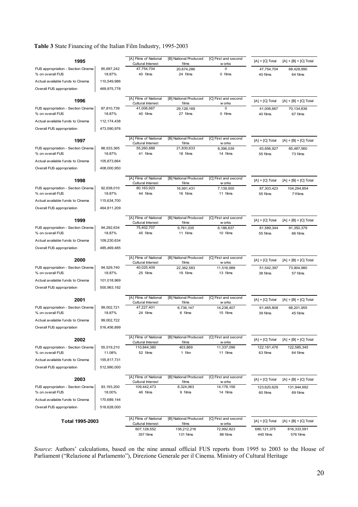#### **Table 3** State Financing of the Italian Film Industry, 1995-2003

| 1995                                                   |                      | [A] Films of National                             | [B] National Produced          | [C] First and second           | $[A] + [C]$ Total       | $[A] + [B] + [C]$ Total |
|--------------------------------------------------------|----------------------|---------------------------------------------------|--------------------------------|--------------------------------|-------------------------|-------------------------|
| FUS appropriation - Section Cinema                     | 85,697,242           | Cultural Interest<br>47,754,704                   | films<br>20,674,286            | w orks<br>0                    | 47,754,704              | 68,428,990              |
| % on overall FUS                                       | 18.87%               | 40 films                                          | 24 films                       | 0 films                        | 40 films                | 64 films                |
| Actual available funds to Cinema                       | 110,549,986          |                                                   |                                |                                |                         |                         |
| Overall FUS appropriation                              | 469,975,778          |                                                   |                                |                                |                         |                         |
|                                                        |                      | [A] Films of National                             | [B] National Produced          | [C] First and second           |                         |                         |
| 1996                                                   |                      | Cultural Interest                                 | films                          | w orks                         | $[A] + [C]$ Total       | $[A] + [B] + [C]$ Total |
| FUS appropriation - Section Cinema                     | 87,810,739           | 41,006,667                                        | 29,128,169                     | 0                              | 41,006,667              | 70,134,836              |
| % on overall FUS                                       | 18.87%               | 40 films                                          | 27 films                       | 0 films                        | 40 films                | 67 films                |
| Actual available funds to Cinema                       | 112,174,438          |                                                   |                                |                                |                         |                         |
| Overall FUS appropriation                              | 473,590,976          |                                                   |                                |                                |                         |                         |
| 1997                                                   |                      | [A] Films of National                             | [B] National Produced          | [C] First and second           | $[A] + [C]$ Total       | $[A] + [B] + [C]$ Total |
| FUS appropriation - Section Cinema                     | 88,533,365           | Cultural Interest<br>55,260,888                   | films<br>21,830,633            | w orks<br>8,396,039            | 63,656,927              | 85,487,560              |
| % on overall FUS                                       | 18.87%               | 41 films                                          | 18 films                       | 14 films                       | 55 films                | 73 films                |
| Actual available funds to Cinema                       | 105,873,664          |                                                   |                                |                                |                         |                         |
| Overall FUS appropriation                              | 408,000,950          |                                                   |                                |                                |                         |                         |
|                                                        |                      |                                                   |                                |                                |                         |                         |
| 1998                                                   |                      | [A] Films of National<br>Cultural Interest        | [B] National Produced<br>films | [C] First and second<br>w orks | $[A] + [C]$ Total       | $[A] + [B] + [C]$ Total |
| FUS appropriation - Section Cinema                     | 92,638,010           | 80,163,923                                        | 16,991,431                     | 7.139.500                      | 87,303,423              | 104,294,854             |
| % on overall FUS                                       | 18.87%               | 44 films                                          | 16 films                       | 11 films                       | 55 films                | 71films                 |
| Actual available funds to Cinema                       | 115,634,700          |                                                   |                                |                                |                         |                         |
| Overall FUS appropriation                              | 464,811,209          |                                                   |                                |                                |                         |                         |
| 1999                                                   |                      | [A] Films of National                             | [B] National Produced          | [C] First and second           | $[A] + [C]$ Total       | $[A] + [B] + [C]$ Total |
|                                                        |                      | Cultural Interest                                 | films                          | w orks                         |                         |                         |
| FUS appropriation - Section Cinema<br>% on overall FUS | 94,292,634<br>18.87% | 75,402,707<br>45 films                            | 9.761.035<br>11 films          | 6,186,637<br>10 films          | 81,589,344<br>55 films  | 91,350,379<br>66 films  |
| Actual available funds to Cinema                       | 109,230,634          |                                                   |                                |                                |                         |                         |
| Overall FUS appropriation                              | 485,469,485          |                                                   |                                |                                |                         |                         |
|                                                        |                      |                                                   |                                |                                |                         |                         |
| 2000                                                   |                      | [A] Films of National<br>Cultural Interest        | [B] National Produced<br>films | [C] First and second<br>w orks | $[A] + [C]$ Total       | $[A] + [B] + [C]$ Total |
| FUS appropriation - Section Cinema                     | 94,529,740           | 40,025,409                                        | 22,362,583                     | 11,516,988                     | 51,542,397              | 73,904,980              |
| % on overall FUS                                       | 18.87%               | 25 films                                          | 19 films                       | 13 films                       | 38 films                | 57 films                |
| Actual available funds to Cinema                       | 101,018,969          |                                                   |                                |                                |                         |                         |
| Overall FUS appropriation                              | 500,963,192          |                                                   |                                |                                |                         |                         |
| 2001                                                   |                      | [A] Films of National                             | [B] National Produced          | [C] First and second           | $[A] + [C]$ Total       | $[A] + [B] + [C]$ Total |
| FUS appropriation - Section Cinema                     | 99,002,721           | Cultural Interest<br>47,227,401                   | films                          | w orks                         |                         |                         |
| % on overall FUS                                       | 18.87%               | 24 films                                          | 6,736,147<br>6 films           | 14,238,407<br>15 films         | 61,465,808<br>39 films  | 68,201,955<br>45 films  |
| Actual available funds to Cinema                       | 99,002,722           |                                                   |                                |                                |                         |                         |
| Overall FUS appropriation                              | 516,456,899          |                                                   |                                |                                |                         |                         |
|                                                        |                      |                                                   |                                |                                |                         |                         |
| 2002                                                   |                      | [A] Films of National<br><b>Cultural Interest</b> | [B] National Produced<br>films | [C] First and second<br>w orks | $[A] + [C]$ Total       | $[A] + [B] + [C]$ Total |
| FUS appropriation - Section Cinema                     | 55,519,210           | 110,844,380                                       | 403,869                        | 11,337,096                     | 122, 181, 476           | 122,585,345             |
| % on overall FUS                                       | 11.08%               | 52 films                                          | 1 film                         | 11 films                       | 63 films                | 64 films                |
| Actual available funds to Cinema                       | 155,817,731          |                                                   |                                |                                |                         |                         |
| Overall FUS appropriation                              | 512,990,000          |                                                   |                                |                                |                         |                         |
| 2003                                                   |                      | [A] Films of National                             | [B] National Produced          | [C] First and second           | $[A] + [C]$ Total       | $[A] + [B] + [C]$ Total |
|                                                        |                      | <b>Cultural Interest</b>                          | films                          | w orks                         |                         |                         |
| FUS appropriation - Section Cinema<br>% on overall FUS | 93,193,200<br>18.00% | 109,442,473<br>46 films                           | 8,324,063<br>9 films           | 14,178,156<br>14 films         | 123,620,629<br>60 films | 131,944,692<br>69 films |
| Actual available funds to Cinema                       | 170,689,144          |                                                   |                                |                                |                         |                         |
| Overall FUS appropriation                              | 518,628,000          |                                                   |                                |                                |                         |                         |
|                                                        |                      |                                                   |                                |                                |                         |                         |
| Total 1995-2003                                        |                      | [A] Films of National                             | [B] National Produced          | [C] First and second           | [A] + [C] Total         | $[A] + [B] + [C]$ Total |
|                                                        |                      | Cultural Interest<br>607,128,552                  | films<br>136,212,216           | w orks<br>72,992,823           | 680,121,375             | 816,333,591             |
|                                                        |                      | 357 films                                         | 131 films                      | 88 films                       | 445 films               | 576 films               |

*Source*: Authors' calculations, based on the nine annual official FUS reports from 1995 to 2003 to the House of Parliament ("Relazione al Parlamento"), Direzione Generale per il Cinema. Ministry of Cultural Heritage